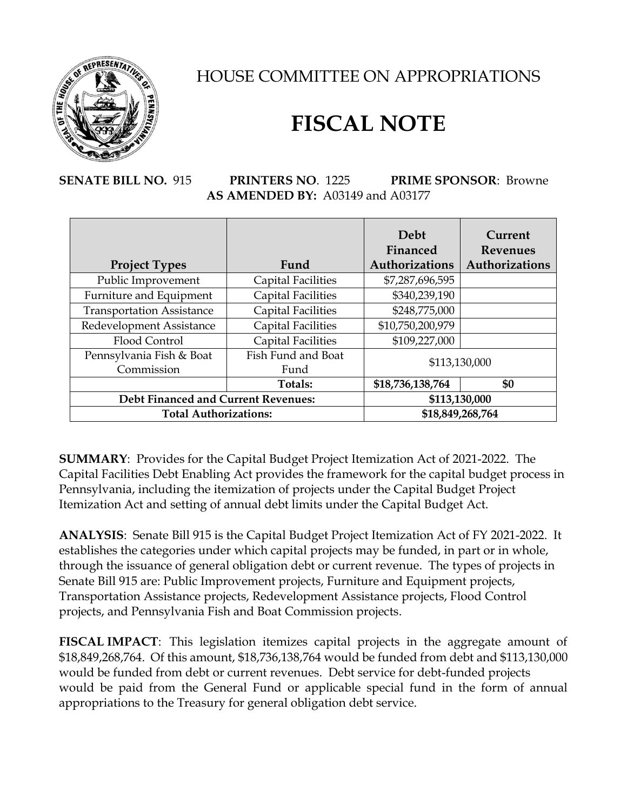

HOUSE COMMITTEE ON APPROPRIATIONS

## **FISCAL NOTE**

**SENATE BILL NO.** 915 **PRINTERS NO**. 1225 **PRIME SPONSOR**: Browne **AS AMENDED BY:** A03149 and A03177

|                                            |                            | Debt<br>Financed | Current<br>Revenues |
|--------------------------------------------|----------------------------|------------------|---------------------|
| <b>Project Types</b>                       | Fund                       | Authorizations   | Authorizations      |
| Public Improvement                         | <b>Capital Facilities</b>  | \$7,287,696,595  |                     |
| Furniture and Equipment                    | Capital Facilities         | \$340,239,190    |                     |
| <b>Transportation Assistance</b>           | <b>Capital Facilities</b>  | \$248,775,000    |                     |
| Redevelopment Assistance                   | <b>Capital Facilities</b>  | \$10,750,200,979 |                     |
| Flood Control                              | Capital Facilities         | \$109,227,000    |                     |
| Pennsylvania Fish & Boat<br>Commission     | Fish Fund and Boat<br>Fund | \$113,130,000    |                     |
|                                            | Totals:                    | \$18,736,138,764 | \$0                 |
| <b>Debt Financed and Current Revenues:</b> |                            | \$113,130,000    |                     |
| <b>Total Authorizations:</b>               |                            | \$18,849,268,764 |                     |

**SUMMARY**: Provides for the Capital Budget Project Itemization Act of 2021-2022. The Capital Facilities Debt Enabling Act provides the framework for the capital budget process in Pennsylvania, including the itemization of projects under the Capital Budget Project Itemization Act and setting of annual debt limits under the Capital Budget Act.

**ANALYSIS**: Senate Bill 915 is the Capital Budget Project Itemization Act of FY 2021-2022. It establishes the categories under which capital projects may be funded, in part or in whole, through the issuance of general obligation debt or current revenue. The types of projects in Senate Bill 915 are: Public Improvement projects, Furniture and Equipment projects, Transportation Assistance projects, Redevelopment Assistance projects, Flood Control projects, and Pennsylvania Fish and Boat Commission projects.

**FISCAL IMPACT**: This legislation itemizes capital projects in the aggregate amount of \$18,849,268,764. Of this amount, \$18,736,138,764 would be funded from debt and \$113,130,000 would be funded from debt or current revenues. Debt service for debt-funded projects would be paid from the General Fund or applicable special fund in the form of annual appropriations to the Treasury for general obligation debt service.